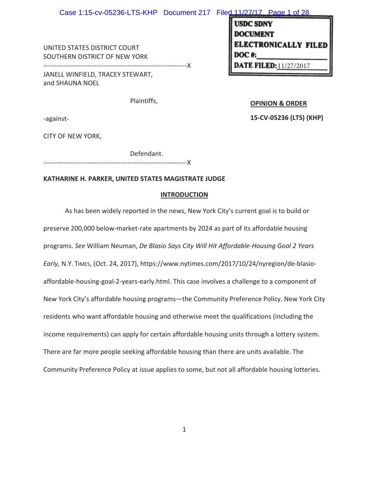UNITED STATES DISTRICT COURT SOUTHERN DISTRICT OF NEW YORK

JANELL WINFIELD, TRACEY STEWART, and SHAUNA NOEL

Plaintiffs,

-against-

**OPINION & ORDER** 

**E FILED:**  $11/27/2017$ 

ECTRONICALLY FILED

**USDC SDNY DOCUMENT** 

**15-CV-05236 (LTS) (KHP)** 

CITY OF NEW YORK,

Defendant.

-----------------------------------------------------------------X

-----------------------------------------------------------------X

# **KATHARINE H. PARKER, UNITED STATES MAGISTRATE JUDGE**

## **INTRODUCTION**

As has been widely reported in the news, New York City's current goal is to build or preserve 200,000 below-market-rate apartments by 2024 as part of its affordable housing programs. *See* William Neuman, *De Blasio Says City Will Hit Affordable-Housing Goal 2 Years Early,* N.Y. TIMES, (Oct. 24, 2017), https://www.nytimes.com/2017/10/24/nyregion/de-blasioaffordable-housing-goal-2-years-early.html. This case involves a challenge to a component of New York City's affordable housing programs—the Community Preference Policy. New York City residents who want affordable housing and otherwise meet the qualifications (including the income requirements) can apply for certain affordable housing units through a lottery system. There are far more people seeking affordable housing than there are units available. The Community Preference Policy at issue applies to some, but not all affordable housing lotteries.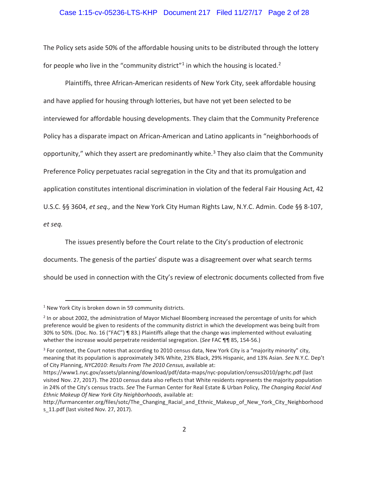## Case 1:15-cv-05236-LTS-KHP Document 217 Filed 11/27/17 Page 2 of 28

The Policy sets aside 50% of the affordable housing units to be distributed through the lottery for people who live in the "community district"<sup>1</sup> in which the housing is located.<sup>2</sup>

Plaintiffs, three African-American residents of New York City, seek affordable housing and have applied for housing through lotteries, but have not yet been selected to be interviewed for affordable housing developments. They claim that the Community Preference Policy has a disparate impact on African-American and Latino applicants in "neighborhoods of opportunity," which they assert are predominantly white. $3$  They also claim that the Community Preference Policy perpetuates racial segregation in the City and that its promulgation and application constitutes intentional discrimination in violation of the federal Fair Housing Act, 42 U.S.C. §§ 3604, *et seq.,* and the New York City Human Rights Law, N.Y.C. Admin. Code §§ 8-107, *et seq.*

The issues presently before the Court relate to the City's production of electronic documents. The genesis of the parties' dispute was a disagreement over what search terms should be used in connection with the City's review of electronic documents collected from five

 <sup>1</sup> New York City is broken down in 59 community districts.

<sup>&</sup>lt;sup>2</sup> In or about 2002, the administration of Mayor Michael Bloomberg increased the percentage of units for which preference would be given to residents of the community district in which the development was being built from 30% to 50%. (Doc. No. 16 ("FAC") ¶ 83.) Plaintiffs allege that the change was implemented without evaluating whether the increase would perpetrate residential segregation. (*See* FAC ¶¶ 85, 154-56.)

<sup>&</sup>lt;sup>3</sup> For context, the Court notes that according to 2010 census data, New York City is a "majority minority" city, meaning that its population is approximately 34% White, 23% Black, 29% Hispanic, and 13% Asian. *See* N.Y.C. Dep't of City Planning, *NYC2010: Results From The 2010 Census*, available at:

https://www1.nyc.gov/assets/planning/download/pdf/data-maps/nyc-population/census2010/pgrhc.pdf (last visited Nov. 27, 2017). The 2010 census data also reflects that White residents represents the majority population in 24% of the City's census tracts. *See* The Furman Center for Real Estate & Urban Policy, *The Changing Racial And Ethnic Makeup Of New York City Neighborhoods*, available at:

http://furmancenter.org/files/sotc/The\_Changing\_Racial\_and\_Ethnic\_Makeup\_of\_New\_York\_City\_Neighborhood s\_11.pdf (last visited Nov. 27, 2017).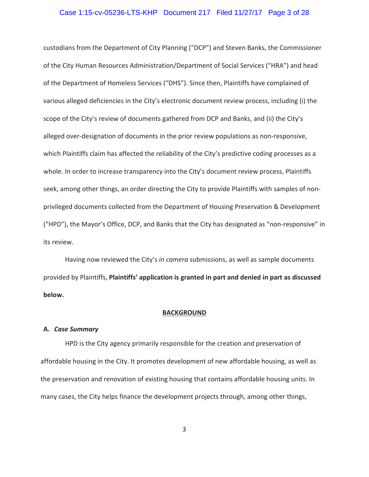## Case 1:15-cv-05236-LTS-KHP Document 217 Filed 11/27/17 Page 3 of 28

custodians from the Department of City Planning ("DCP") and Steven Banks, the Commissioner of the City Human Resources Administration/Department of Social Services ("HRA") and head of the Department of Homeless Services ("DHS"). Since then, Plaintiffs have complained of various alleged deficiencies in the City's electronic document review process, including (i) the scope of the City's review of documents gathered from DCP and Banks, and (ii) the City's alleged over-designation of documents in the prior review populations as non-responsive, which Plaintiffs claim has affected the reliability of the City's predictive coding processes as a whole. In order to increase transparency into the City's document review process, Plaintiffs seek, among other things, an order directing the City to provide Plaintiffs with samples of nonprivileged documents collected from the Department of Housing Preservation & Development ("HPD"), the Mayor's Office, DCP, and Banks that the City has designated as "non-responsive" in its review.

Having now reviewed the City's *in camera* submissions, as well as sample documents provided by Plaintiffs, **Plaintiffs' application is granted in part and denied in part as discussed below.** 

### **BACKGROUND**

#### **A.** *Case Summary*

HPD is the City agency primarily responsible for the creation and preservation of affordable housing in the City. It promotes development of new affordable housing, as well as the preservation and renovation of existing housing that contains affordable housing units. In many cases, the City helps finance the development projects through, among other things,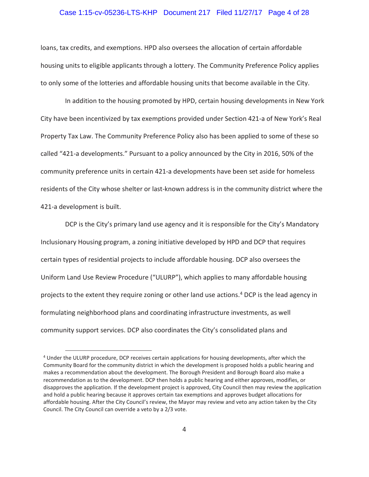## Case 1:15-cv-05236-LTS-KHP Document 217 Filed 11/27/17 Page 4 of 28

loans, tax credits, and exemptions. HPD also oversees the allocation of certain affordable housing units to eligible applicants through a lottery. The Community Preference Policy applies to only some of the lotteries and affordable housing units that become available in the City.

In addition to the housing promoted by HPD, certain housing developments in New York City have been incentivized by tax exemptions provided under Section 421-a of New York's Real Property Tax Law. The Community Preference Policy also has been applied to some of these so called "421-a developments." Pursuant to a policy announced by the City in 2016, 50% of the community preference units in certain 421-a developments have been set aside for homeless residents of the City whose shelter or last-known address is in the community district where the 421-a development is built.

DCP is the City's primary land use agency and it is responsible for the City's Mandatory Inclusionary Housing program, a zoning initiative developed by HPD and DCP that requires certain types of residential projects to include affordable housing. DCP also oversees the Uniform Land Use Review Procedure ("ULURP"), which applies to many affordable housing projects to the extent they require zoning or other land use actions.<sup>4</sup> DCP is the lead agency in formulating neighborhood plans and coordinating infrastructure investments, as well community support services. DCP also coordinates the City's consolidated plans and

 <sup>4</sup> Under the ULURP procedure, DCP receives certain applications for housing developments, after which the Community Board for the community district in which the development is proposed holds a public hearing and makes a recommendation about the development. The Borough President and Borough Board also make a recommendation as to the development. DCP then holds a public hearing and either approves, modifies, or disapproves the application. If the development project is approved, City Council then may review the application and hold a public hearing because it approves certain tax exemptions and approves budget allocations for affordable housing. After the City Council's review, the Mayor may review and veto any action taken by the City Council. The City Council can override a veto by a 2/3 vote.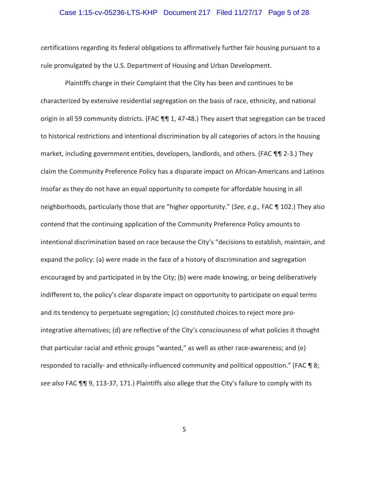## Case 1:15-cv-05236-LTS-KHP Document 217 Filed 11/27/17 Page 5 of 28

certifications regarding its federal obligations to affirmatively further fair housing pursuant to a rule promulgated by the U.S. Department of Housing and Urban Development.

Plaintiffs charge in their Complaint that the City has been and continues to be characterized by extensive residential segregation on the basis of race, ethnicity, and national origin in all 59 community districts. (FAC 111 1, 47-48.) They assert that segregation can be traced to historical restrictions and intentional discrimination by all categories of actors in the housing market, including government entities, developers, landlords, and others. (FAC ¶¶ 2-3.) They claim the Community Preference Policy has a disparate impact on African-Americans and Latinos insofar as they do not have an equal opportunity to compete for affordable housing in all neighborhoods, particularly those that are "higher opportunity." (*See, e.g.,* FAC ¶ 102.) They also contend that the continuing application of the Community Preference Policy amounts to intentional discrimination based on race because the City's "decisions to establish, maintain, and expand the policy: (a) were made in the face of a history of discrimination and segregation encouraged by and participated in by the City; (b) were made knowing, or being deliberatively indifferent to, the policy's clear disparate impact on opportunity to participate on equal terms and its tendency to perpetuate segregation; (c) constituted choices to reject more prointegrative alternatives; (d) are reflective of the City's consciousness of what policies it thought that particular racial and ethnic groups "wanted," as well as other race-awareness; and (e) responded to racially- and ethnically-influenced community and political opposition." (FAC ¶ 8; *see also* FAC ¶¶ 9, 113-37, 171.) Plaintiffs also allege that the City's failure to comply with its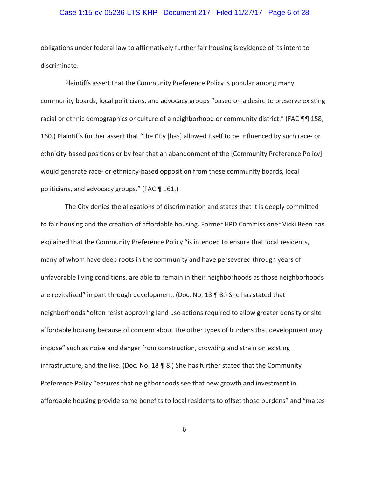## Case 1:15-cv-05236-LTS-KHP Document 217 Filed 11/27/17 Page 6 of 28

obligations under federal law to affirmatively further fair housing is evidence of its intent to discriminate.

Plaintiffs assert that the Community Preference Policy is popular among many community boards, local politicians, and advocacy groups "based on a desire to preserve existing racial or ethnic demographics or culture of a neighborhood or community district." (FAC ¶¶ 158, 160.) Plaintiffs further assert that "the City [has] allowed itself to be influenced by such race- or ethnicity-based positions or by fear that an abandonment of the [Community Preference Policy] would generate race- or ethnicity-based opposition from these community boards, local politicians, and advocacy groups." (FAC ¶ 161.)

The City denies the allegations of discrimination and states that it is deeply committed to fair housing and the creation of affordable housing. Former HPD Commissioner Vicki Been has explained that the Community Preference Policy "is intended to ensure that local residents, many of whom have deep roots in the community and have persevered through years of unfavorable living conditions, are able to remain in their neighborhoods as those neighborhoods are revitalized" in part through development. (Doc. No. 18 ¶ 8.) She has stated that neighborhoods "often resist approving land use actions required to allow greater density or site affordable housing because of concern about the other types of burdens that development may impose" such as noise and danger from construction, crowding and strain on existing infrastructure, and the like. (Doc. No. 18  $\P$  8.) She has further stated that the Community Preference Policy "ensures that neighborhoods see that new growth and investment in affordable housing provide some benefits to local residents to offset those burdens" and "makes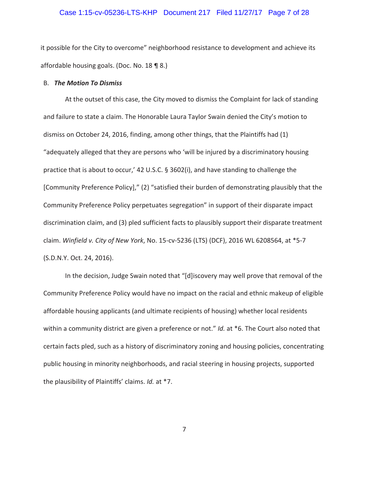### Case 1:15-cv-05236-LTS-KHP Document 217 Filed 11/27/17 Page 7 of 28

it possible for the City to overcome" neighborhood resistance to development and achieve its affordable housing goals. (Doc. No. 18 ¶ 8.)

### B. *The Motion To Dismiss*

At the outset of this case, the City moved to dismiss the Complaint for lack of standing and failure to state a claim. The Honorable Laura Taylor Swain denied the City's motion to dismiss on October 24, 2016, finding, among other things, that the Plaintiffs had (1) "adequately alleged that they are persons who 'will be injured by a discriminatory housing practice that is about to occur,' 42 U.S.C. § 3602(i), and have standing to challenge the [Community Preference Policy]," (2) "satisfied their burden of demonstrating plausibly that the Community Preference Policy perpetuates segregation" in support of their disparate impact discrimination claim, and (3) pled sufficient facts to plausibly support their disparate treatment claim. *Winfield v. City of New York*, No. 15-cv-5236 (LTS) (DCF), 2016 WL 6208564, at \*5-7 (S.D.N.Y. Oct. 24, 2016).

In the decision, Judge Swain noted that "[d]iscovery may well prove that removal of the Community Preference Policy would have no impact on the racial and ethnic makeup of eligible affordable housing applicants (and ultimate recipients of housing) whether local residents within a community district are given a preference or not." *Id.* at \*6. The Court also noted that certain facts pled, such as a history of discriminatory zoning and housing policies, concentrating public housing in minority neighborhoods, and racial steering in housing projects, supported the plausibility of Plaintiffs' claims. *Id.* at \*7.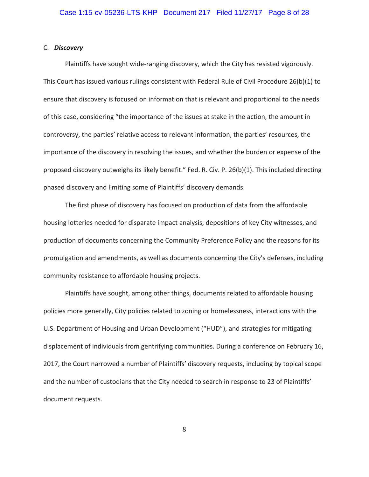### C. *Discovery*

Plaintiffs have sought wide-ranging discovery, which the City has resisted vigorously. This Court has issued various rulings consistent with Federal Rule of Civil Procedure 26(b)(1) to ensure that discovery is focused on information that is relevant and proportional to the needs of this case, considering "the importance of the issues at stake in the action, the amount in controversy, the parties' relative access to relevant information, the parties' resources, the importance of the discovery in resolving the issues, and whether the burden or expense of the proposed discovery outweighs its likely benefit." Fed. R. Civ. P. 26(b)(1). This included directing phased discovery and limiting some of Plaintiffs' discovery demands.

The first phase of discovery has focused on production of data from the affordable housing lotteries needed for disparate impact analysis, depositions of key City witnesses, and production of documents concerning the Community Preference Policy and the reasons for its promulgation and amendments, as well as documents concerning the City's defenses, including community resistance to affordable housing projects.

Plaintiffs have sought, among other things, documents related to affordable housing policies more generally, City policies related to zoning or homelessness, interactions with the U.S. Department of Housing and Urban Development ("HUD"), and strategies for mitigating displacement of individuals from gentrifying communities. During a conference on February 16, 2017, the Court narrowed a number of Plaintiffs' discovery requests, including by topical scope and the number of custodians that the City needed to search in response to 23 of Plaintiffs' document requests.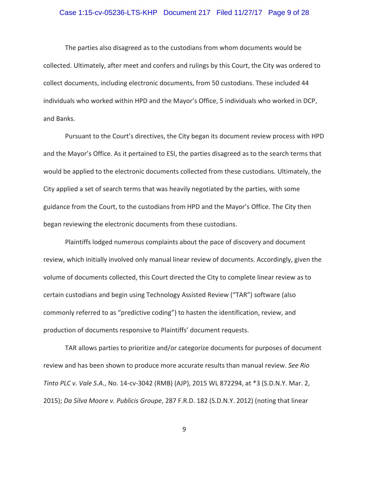## Case 1:15-cv-05236-LTS-KHP Document 217 Filed 11/27/17 Page 9 of 28

The parties also disagreed as to the custodians from whom documents would be collected. Ultimately, after meet and confers and rulings by this Court, the City was ordered to collect documents, including electronic documents, from 50 custodians. These included 44 individuals who worked within HPD and the Mayor's Office, 5 individuals who worked in DCP, and Banks.

Pursuant to the Court's directives, the City began its document review process with HPD and the Mayor's Office. As it pertained to ESI, the parties disagreed as to the search terms that would be applied to the electronic documents collected from these custodians. Ultimately, the City applied a set of search terms that was heavily negotiated by the parties, with some guidance from the Court, to the custodians from HPD and the Mayor's Office. The City then began reviewing the electronic documents from these custodians.

Plaintiffs lodged numerous complaints about the pace of discovery and document review, which initially involved only manual linear review of documents. Accordingly, given the volume of documents collected, this Court directed the City to complete linear review as to certain custodians and begin using Technology Assisted Review ("TAR") software (also commonly referred to as "predictive coding") to hasten the identification, review, and production of documents responsive to Plaintiffs' document requests.

TAR allows parties to prioritize and/or categorize documents for purposes of document review and has been shown to produce more accurate results than manual review. *See Rio Tinto PLC v. Vale S.A.*, No. 14-cv-3042 (RMB) (AJP), 2015 WL 872294, at \*3 (S.D.N.Y. Mar. 2, 2015); *Da Silva Moore v. Publicis Groupe*, 287 F.R.D. 182 (S.D.N.Y. 2012) (noting that linear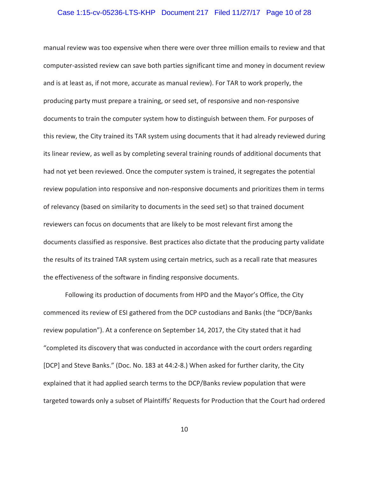## Case 1:15-cv-05236-LTS-KHP Document 217 Filed 11/27/17 Page 10 of 28

manual review was too expensive when there were over three million emails to review and that computer-assisted review can save both parties significant time and money in document review and is at least as, if not more, accurate as manual review). For TAR to work properly, the producing party must prepare a training, or seed set, of responsive and non-responsive documents to train the computer system how to distinguish between them*.* For purposes of this review, the City trained its TAR system using documents that it had already reviewed during its linear review, as well as by completing several training rounds of additional documents that had not yet been reviewed. Once the computer system is trained, it segregates the potential review population into responsive and non-responsive documents and prioritizes them in terms of relevancy (based on similarity to documents in the seed set) so that trained document reviewers can focus on documents that are likely to be most relevant first among the documents classified as responsive. Best practices also dictate that the producing party validate the results of its trained TAR system using certain metrics, such as a recall rate that measures the effectiveness of the software in finding responsive documents.

Following its production of documents from HPD and the Mayor's Office, the City commenced its review of ESI gathered from the DCP custodians and Banks (the "DCP/Banks review population"). At a conference on September 14, 2017, the City stated that it had "completed its discovery that was conducted in accordance with the court orders regarding [DCP] and Steve Banks." (Doc. No. 183 at 44:2-8.) When asked for further clarity, the City explained that it had applied search terms to the DCP/Banks review population that were targeted towards only a subset of Plaintiffs' Requests for Production that the Court had ordered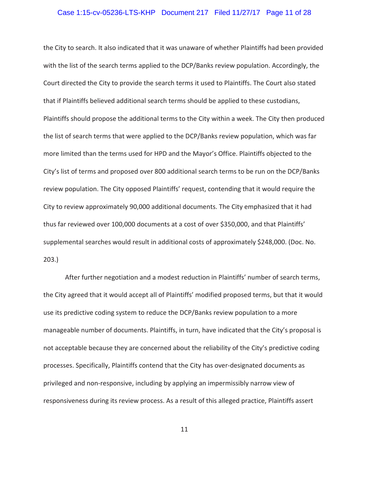### Case 1:15-cv-05236-LTS-KHP Document 217 Filed 11/27/17 Page 11 of 28

the City to search. It also indicated that it was unaware of whether Plaintiffs had been provided with the list of the search terms applied to the DCP/Banks review population. Accordingly, the Court directed the City to provide the search terms it used to Plaintiffs. The Court also stated that if Plaintiffs believed additional search terms should be applied to these custodians, Plaintiffs should propose the additional terms to the City within a week. The City then produced the list of search terms that were applied to the DCP/Banks review population, which was far more limited than the terms used for HPD and the Mayor's Office. Plaintiffs objected to the City's list of terms and proposed over 800 additional search terms to be run on the DCP/Banks review population. The City opposed Plaintiffs' request, contending that it would require the City to review approximately 90,000 additional documents. The City emphasized that it had thus far reviewed over 100,000 documents at a cost of over \$350,000, and that Plaintiffs' supplemental searches would result in additional costs of approximately \$248,000. (Doc. No. 203.)

After further negotiation and a modest reduction in Plaintiffs' number of search terms, the City agreed that it would accept all of Plaintiffs' modified proposed terms, but that it would use its predictive coding system to reduce the DCP/Banks review population to a more manageable number of documents. Plaintiffs, in turn, have indicated that the City's proposal is not acceptable because they are concerned about the reliability of the City's predictive coding processes. Specifically, Plaintiffs contend that the City has over-designated documents as privileged and non-responsive, including by applying an impermissibly narrow view of responsiveness during its review process. As a result of this alleged practice, Plaintiffs assert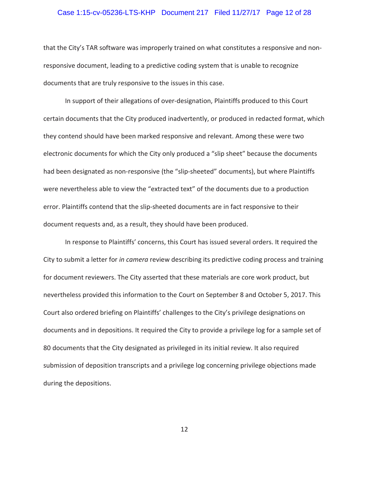### Case 1:15-cv-05236-LTS-KHP Document 217 Filed 11/27/17 Page 12 of 28

that the City's TAR software was improperly trained on what constitutes a responsive and nonresponsive document, leading to a predictive coding system that is unable to recognize documents that are truly responsive to the issues in this case.

In support of their allegations of over-designation, Plaintiffs produced to this Court certain documents that the City produced inadvertently, or produced in redacted format, which they contend should have been marked responsive and relevant. Among these were two electronic documents for which the City only produced a "slip sheet" because the documents had been designated as non-responsive (the "slip-sheeted" documents), but where Plaintiffs were nevertheless able to view the "extracted text" of the documents due to a production error. Plaintiffs contend that the slip-sheeted documents are in fact responsive to their document requests and, as a result, they should have been produced.

In response to Plaintiffs' concerns, this Court has issued several orders. It required the City to submit a letter for *in camera* review describing its predictive coding process and training for document reviewers. The City asserted that these materials are core work product, but nevertheless provided this information to the Court on September 8 and October 5, 2017. This Court also ordered briefing on Plaintiffs' challenges to the City's privilege designations on documents and in depositions. It required the City to provide a privilege log for a sample set of 80 documents that the City designated as privileged in its initial review. It also required submission of deposition transcripts and a privilege log concerning privilege objections made during the depositions.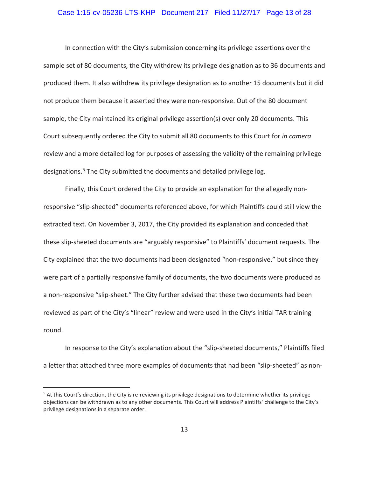## Case 1:15-cv-05236-LTS-KHP Document 217 Filed 11/27/17 Page 13 of 28

In connection with the City's submission concerning its privilege assertions over the sample set of 80 documents, the City withdrew its privilege designation as to 36 documents and produced them. It also withdrew its privilege designation as to another 15 documents but it did not produce them because it asserted they were non-responsive. Out of the 80 document sample, the City maintained its original privilege assertion(s) over only 20 documents. This Court subsequently ordered the City to submit all 80 documents to this Court for *in camera* review and a more detailed log for purposes of assessing the validity of the remaining privilege designations.5 The City submitted the documents and detailed privilege log.

Finally, this Court ordered the City to provide an explanation for the allegedly nonresponsive "slip-sheeted" documents referenced above, for which Plaintiffs could still view the extracted text. On November 3, 2017, the City provided its explanation and conceded that these slip-sheeted documents are "arguably responsive" to Plaintiffs' document requests. The City explained that the two documents had been designated "non-responsive," but since they were part of a partially responsive family of documents, the two documents were produced as a non-responsive "slip-sheet." The City further advised that these two documents had been reviewed as part of the City's "linear" review and were used in the City's initial TAR training round.

In response to the City's explanation about the "slip-sheeted documents," Plaintiffs filed a letter that attached three more examples of documents that had been "slip-sheeted" as non-

 $\overline{a}$ 

<sup>&</sup>lt;sup>5</sup> At this Court's direction, the City is re-reviewing its privilege designations to determine whether its privilege objections can be withdrawn as to any other documents. This Court will address Plaintiffs' challenge to the City's privilege designations in a separate order.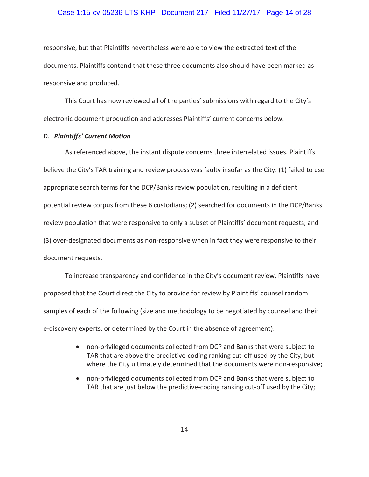## Case 1:15-cv-05236-LTS-KHP Document 217 Filed 11/27/17 Page 14 of 28

responsive, but that Plaintiffs nevertheless were able to view the extracted text of the documents. Plaintiffs contend that these three documents also should have been marked as responsive and produced.

This Court has now reviewed all of the parties' submissions with regard to the City's electronic document production and addresses Plaintiffs' current concerns below.

## D. *Plaintiffs' Current Motion*

As referenced above, the instant dispute concerns three interrelated issues. Plaintiffs believe the City's TAR training and review process was faulty insofar as the City: (1) failed to use appropriate search terms for the DCP/Banks review population, resulting in a deficient potential review corpus from these 6 custodians; (2) searched for documents in the DCP/Banks review population that were responsive to only a subset of Plaintiffs' document requests; and (3) over-designated documents as non-responsive when in fact they were responsive to their document requests.

To increase transparency and confidence in the City's document review, Plaintiffs have proposed that the Court direct the City to provide for review by Plaintiffs' counsel random samples of each of the following (size and methodology to be negotiated by counsel and their e-discovery experts, or determined by the Court in the absence of agreement):

- non-privileged documents collected from DCP and Banks that were subject to TAR that are above the predictive-coding ranking cut-off used by the City, but where the City ultimately determined that the documents were non-responsive;
- non-privileged documents collected from DCP and Banks that were subject to TAR that are just below the predictive-coding ranking cut-off used by the City;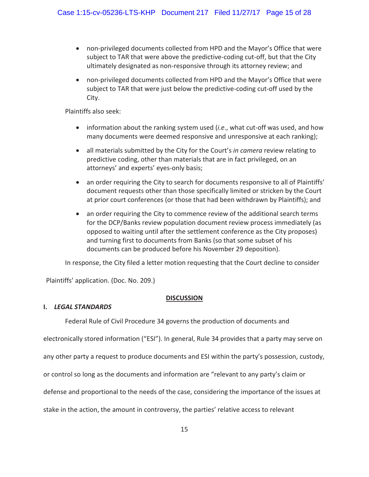- non-privileged documents collected from HPD and the Mayor's Office that were subject to TAR that were above the predictive-coding cut-off, but that the City ultimately designated as non-responsive through its attorney review; and
- non-privileged documents collected from HPD and the Mayor's Office that were subject to TAR that were just below the predictive-coding cut-off used by the City.

Plaintiffs also seek:

- information about the ranking system used (*i.e.*, what cut-off was used, and how many documents were deemed responsive and unresponsive at each ranking);
- x all materials submitted by the City for the Court's *in camera* review relating to predictive coding, other than materials that are in fact privileged, on an attorneys' and experts' eyes-only basis;
- an order requiring the City to search for documents responsive to all of Plaintiffs' document requests other than those specifically limited or stricken by the Court at prior court conferences (or those that had been withdrawn by Plaintiffs); and
- an order requiring the City to commence review of the additional search terms for the DCP/Banks review population document review process immediately (as opposed to waiting until after the settlement conference as the City proposes) and turning first to documents from Banks (so that some subset of his documents can be produced before his November 29 deposition).

In response, the City filed a letter motion requesting that the Court decline to consider

Plaintiffs' application. (Doc. No. 209.)

# **DISCUSSION**

# **I.** *LEGAL STANDARDS*

Federal Rule of Civil Procedure 34 governs the production of documents and

electronically stored information ("ESI"). In general, Rule 34 provides that a party may serve on

any other party a request to produce documents and ESI within the party's possession, custody,

or control so long as the documents and information are "relevant to any party's claim or

defense and proportional to the needs of the case, considering the importance of the issues at

stake in the action, the amount in controversy, the parties' relative access to relevant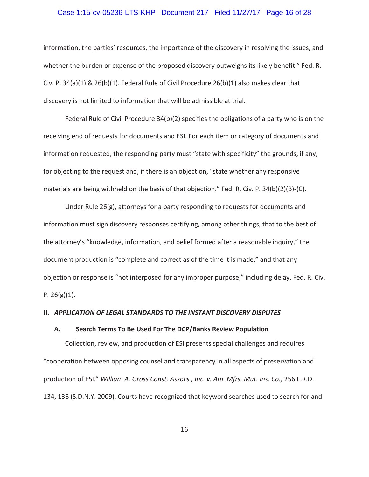## Case 1:15-cv-05236-LTS-KHP Document 217 Filed 11/27/17 Page 16 of 28

information, the parties' resources, the importance of the discovery in resolving the issues, and whether the burden or expense of the proposed discovery outweighs its likely benefit." Fed. R. Civ. P. 34(a)(1) & 26(b)(1). Federal Rule of Civil Procedure 26(b)(1) also makes clear that discovery is not limited to information that will be admissible at trial.

Federal Rule of Civil Procedure 34(b)(2) specifies the obligations of a party who is on the receiving end of requests for documents and ESI. For each item or category of documents and information requested, the responding party must "state with specificity" the grounds, if any, for objecting to the request and, if there is an objection, "state whether any responsive materials are being withheld on the basis of that objection." Fed. R. Civ. P. 34(b)(2)(B)-(C).

Under Rule 26(g), attorneys for a party responding to requests for documents and information must sign discovery responses certifying, among other things, that to the best of the attorney's "knowledge, information, and belief formed after a reasonable inquiry," the document production is "complete and correct as of the time it is made," and that any objection or response is "not interposed for any improper purpose," including delay. Fed. R. Civ. P.  $26(g)(1)$ .

### **II.** *APPLICATION OF LEGAL STANDARDS TO THE INSTANT DISCOVERY DISPUTES*

# **A. Search Terms To Be Used For The DCP/Banks Review Population**

Collection, review, and production of ESI presents special challenges and requires "cooperation between opposing counsel and transparency in all aspects of preservation and production of ESI." *William A. Gross Const. Assocs., Inc. v. Am. Mfrs. Mut. Ins. Co.,* 256 F.R.D. 134, 136 (S.D.N.Y. 2009). Courts have recognized that keyword searches used to search for and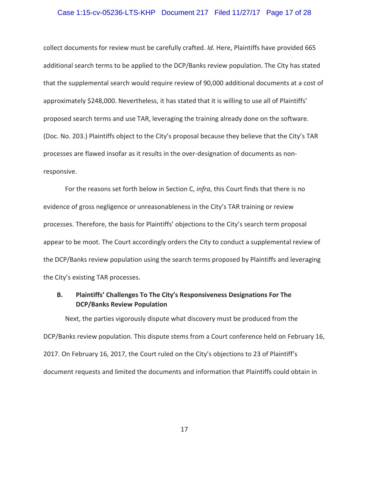## Case 1:15-cv-05236-LTS-KHP Document 217 Filed 11/27/17 Page 17 of 28

collect documents for review must be carefully crafted. *Id.* Here, Plaintiffs have provided 665 additional search terms to be applied to the DCP/Banks review population. The City has stated that the supplemental search would require review of 90,000 additional documents at a cost of approximately \$248,000. Nevertheless, it has stated that it is willing to use all of Plaintiffs' proposed search terms and use TAR, leveraging the training already done on the software. (Doc. No. 203.) Plaintiffs object to the City's proposal because they believe that the City's TAR processes are flawed insofar as it results in the over-designation of documents as nonresponsive.

For the reasons set forth below in Section C, *infra*, this Court finds that there is no evidence of gross negligence or unreasonableness in the City's TAR training or review processes. Therefore, the basis for Plaintiffs' objections to the City's search term proposal appear to be moot. The Court accordingly orders the City to conduct a supplemental review of the DCP/Banks review population using the search terms proposed by Plaintiffs and leveraging the City's existing TAR processes.

# **B. Plaintiffs' Challenges To The City's Responsiveness Designations For The DCP/Banks Review Population**

Next, the parties vigorously dispute what discovery must be produced from the DCP/Banks review population. This dispute stems from a Court conference held on February 16, 2017. On February 16, 2017, the Court ruled on the City's objections to 23 of Plaintiff's document requests and limited the documents and information that Plaintiffs could obtain in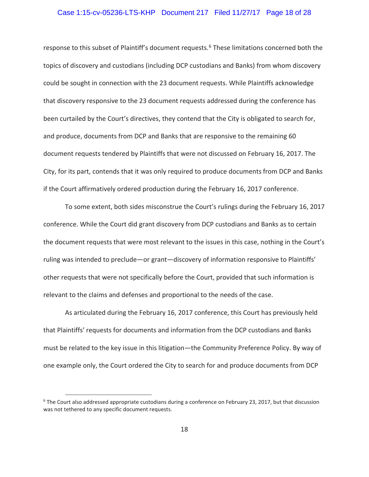## Case 1:15-cv-05236-LTS-KHP Document 217 Filed 11/27/17 Page 18 of 28

response to this subset of Plaintiff's document requests.<sup>6</sup> These limitations concerned both the topics of discovery and custodians (including DCP custodians and Banks) from whom discovery could be sought in connection with the 23 document requests. While Plaintiffs acknowledge that discovery responsive to the 23 document requests addressed during the conference has been curtailed by the Court's directives, they contend that the City is obligated to search for, and produce, documents from DCP and Banks that are responsive to the remaining 60 document requests tendered by Plaintiffs that were not discussed on February 16, 2017. The City, for its part, contends that it was only required to produce documents from DCP and Banks if the Court affirmatively ordered production during the February 16, 2017 conference.

To some extent, both sides misconstrue the Court's rulings during the February 16, 2017 conference. While the Court did grant discovery from DCP custodians and Banks as to certain the document requests that were most relevant to the issues in this case, nothing in the Court's ruling was intended to preclude—or grant—discovery of information responsive to Plaintiffs' other requests that were not specifically before the Court, provided that such information is relevant to the claims and defenses and proportional to the needs of the case.

As articulated during the February 16, 2017 conference, this Court has previously held that Plaintiffs' requests for documents and information from the DCP custodians and Banks must be related to the key issue in this litigation—the Community Preference Policy. By way of one example only, the Court ordered the City to search for and produce documents from DCP

**EXECTLE COURT ALSO ADDENT CONCROOT CONCROOT**<br>Fine Court also addressed appropriate custodians during a conference on February 23, 2017, but that discussion was not tethered to any specific document requests.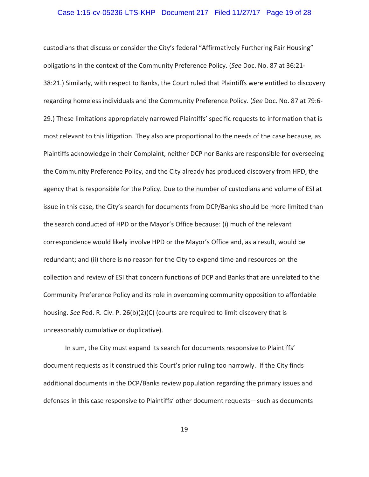## Case 1:15-cv-05236-LTS-KHP Document 217 Filed 11/27/17 Page 19 of 28

custodians that discuss or consider the City's federal "Affirmatively Furthering Fair Housing" obligations in the context of the Community Preference Policy. (*See* Doc. No. 87 at 36:21- 38:21.) Similarly, with respect to Banks, the Court ruled that Plaintiffs were entitled to discovery regarding homeless individuals and the Community Preference Policy. (*See* Doc. No. 87 at 79:6- 29.) These limitations appropriately narrowed Plaintiffs' specific requests to information that is most relevant to this litigation. They also are proportional to the needs of the case because, as Plaintiffs acknowledge in their Complaint, neither DCP nor Banks are responsible for overseeing the Community Preference Policy, and the City already has produced discovery from HPD, the agency that is responsible for the Policy. Due to the number of custodians and volume of ESI at issue in this case, the City's search for documents from DCP/Banks should be more limited than the search conducted of HPD or the Mayor's Office because: (i) much of the relevant correspondence would likely involve HPD or the Mayor's Office and, as a result, would be redundant; and (ii) there is no reason for the City to expend time and resources on the collection and review of ESI that concern functions of DCP and Banks that are unrelated to the Community Preference Policy and its role in overcoming community opposition to affordable housing. *See* Fed. R. Civ. P. 26(b)(2)(C) (courts are required to limit discovery that is unreasonably cumulative or duplicative).

In sum, the City must expand its search for documents responsive to Plaintiffs' document requests as it construed this Court's prior ruling too narrowly. If the City finds additional documents in the DCP/Banks review population regarding the primary issues and defenses in this case responsive to Plaintiffs' other document requests—such as documents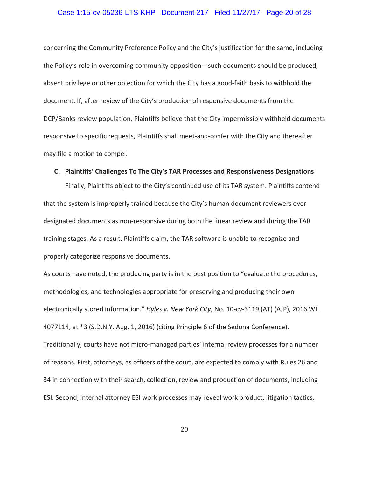## Case 1:15-cv-05236-LTS-KHP Document 217 Filed 11/27/17 Page 20 of 28

concerning the Community Preference Policy and the City's justification for the same, including the Policy's role in overcoming community opposition—such documents should be produced, absent privilege or other objection for which the City has a good-faith basis to withhold the document. If, after review of the City's production of responsive documents from the DCP/Banks review population, Plaintiffs believe that the City impermissibly withheld documents responsive to specific requests, Plaintiffs shall meet-and-confer with the City and thereafter may file a motion to compel.

# **C. Plaintiffs' Challenges To The City's TAR Processes and Responsiveness Designations**

Finally, Plaintiffs object to the City's continued use of its TAR system. Plaintiffs contend that the system is improperly trained because the City's human document reviewers overdesignated documents as non-responsive during both the linear review and during the TAR training stages. As a result, Plaintiffs claim, the TAR software is unable to recognize and properly categorize responsive documents.

As courts have noted, the producing party is in the best position to "evaluate the procedures, methodologies, and technologies appropriate for preserving and producing their own electronically stored information." *Hyles v. New York City*, No. 10-cv-3119 (AT) (AJP), 2016 WL 4077114, at \*3 (S.D.N.Y. Aug. 1, 2016) (citing Principle 6 of the Sedona Conference). Traditionally, courts have not micro-managed parties' internal review processes for a number of reasons. First, attorneys, as officers of the court, are expected to comply with Rules 26 and 34 in connection with their search, collection, review and production of documents, including ESI. Second, internal attorney ESI work processes may reveal work product, litigation tactics,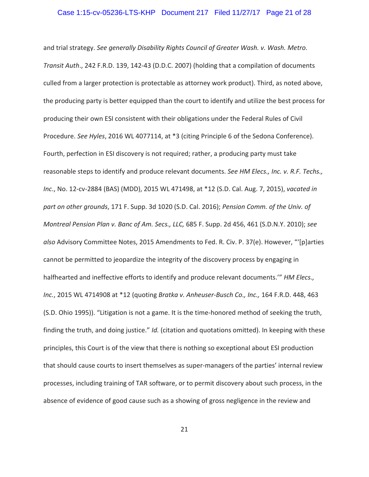## Case 1:15-cv-05236-LTS-KHP Document 217 Filed 11/27/17 Page 21 of 28

and trial strategy. *See generally Disability Rights Council of Greater Wash. v. Wash. Metro. Transit Auth*., 242 F.R.D. 139, 142-43 (D.D.C. 2007) (holding that a compilation of documents culled from a larger protection is protectable as attorney work product). Third, as noted above, the producing party is better equipped than the court to identify and utilize the best process for producing their own ESI consistent with their obligations under the Federal Rules of Civil Procedure. *See Hyles*, 2016 WL 4077114, at \*3 (citing Principle 6 of the Sedona Conference). Fourth, perfection in ESI discovery is not required; rather, a producing party must take reasonable steps to identify and produce relevant documents. *See HM Elecs., Inc. v. R.F. Techs., Inc*., No. 12-cv-2884 (BAS) (MDD), 2015 WL 471498, at \*12 (S.D. Cal. Aug. 7, 2015), *vacated in part on other grounds*, 171 F. Supp. 3d 1020 (S.D. Cal. 2016); *Pension Comm. of the Univ. of Montreal Pension Plan v. Banc of Am. Secs., LLC,* 685 F. Supp. 2d 456, 461 (S.D.N.Y. 2010); *see also* Advisory Committee Notes, 2015 Amendments to Fed. R. Civ. P. 37(e). However, "'[p]arties cannot be permitted to jeopardize the integrity of the discovery process by engaging in halfhearted and ineffective efforts to identify and produce relevant documents.'" *HM Elecs., Inc.*, 2015 WL 4714908 at \*12 (quoting *Bratka v. Anheuser-Busch Co., Inc.,* 164 F.R.D. 448, 463 (S.D. Ohio 1995)). "Litigation is not a game. It is the time-honored method of seeking the truth, finding the truth, and doing justice." *Id.* (citation and quotations omitted). In keeping with these principles, this Court is of the view that there is nothing so exceptional about ESI production that should cause courts to insert themselves as super-managers of the parties' internal review processes, including training of TAR software, or to permit discovery about such process, in the absence of evidence of good cause such as a showing of gross negligence in the review and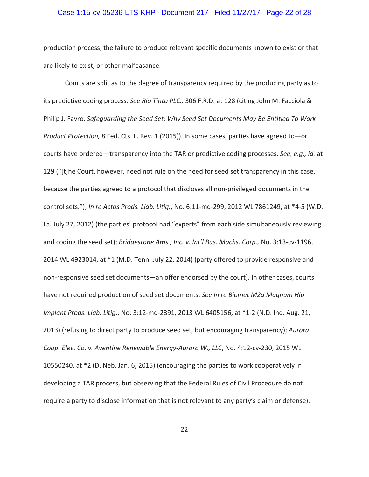## Case 1:15-cv-05236-LTS-KHP Document 217 Filed 11/27/17 Page 22 of 28

production process, the failure to produce relevant specific documents known to exist or that are likely to exist, or other malfeasance.

Courts are split as to the degree of transparency required by the producing party as to its predictive coding process. *See Rio Tinto PLC.,* 306 F.R.D. at 128 (citing John M. Facciola & Philip J. Favro, *Safeguarding the Seed Set: Why Seed Set Documents May Be Entitled To Work Product Protection,* 8 Fed. Cts. L. Rev. 1 (2015)). In some cases, parties have agreed to—or courts have ordered—transparency into the TAR or predictive coding processes. *See, e.g., id.* at 129 ("[t]he Court, however, need not rule on the need for seed set transparency in this case, because the parties agreed to a protocol that discloses all non-privileged documents in the control sets."); *In re Actos Prods. Liab. Litig.*, No. 6:11-md-299, 2012 WL 7861249, at \*4-5 (W.D. La. July 27, 2012) (the parties' protocol had "experts" from each side simultaneously reviewing and coding the seed set); *Bridgestone Ams., Inc. v. Int'l Bus. Machs. Corp.,* No. 3:13-cv-1196, 2014 WL 4923014, at \*1 (M.D. Tenn. July 22, 2014) (party offered to provide responsive and non-responsive seed set documents—an offer endorsed by the court). In other cases, courts have not required production of seed set documents. *See In re Biomet M2a Magnum Hip Implant Prods. Liab. Litig.*, No. 3:12-md-2391, 2013 WL 6405156, at \*1-2 (N.D. Ind. Aug. 21, 2013) (refusing to direct party to produce seed set, but encouraging transparency); *Aurora Coop. Elev. Co. v. Aventine Renewable Energy-Aurora W., LLC*, No. 4:12-cv-230, 2015 WL 10550240, at \*2 (D. Neb. Jan. 6, 2015) (encouraging the parties to work cooperatively in developing a TAR process, but observing that the Federal Rules of Civil Procedure do not require a party to disclose information that is not relevant to any party's claim or defense).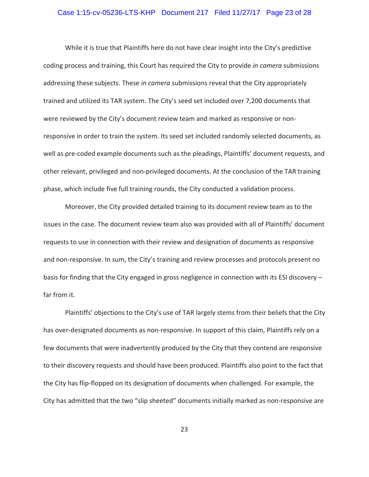## Case 1:15-cv-05236-LTS-KHP Document 217 Filed 11/27/17 Page 23 of 28

While it is true that Plaintiffs here do not have clear insight into the City's predictive coding process and training, this Court has required the City to provide *in camera* submissions addressing these subjects. These *in camera* submissions reveal that the City appropriately trained and utilized its TAR system. The City's seed set included over 7,200 documents that were reviewed by the City's document review team and marked as responsive or nonresponsive in order to train the system. Its seed set included randomly selected documents, as well as pre-coded example documents such as the pleadings, Plaintiffs' document requests, and other relevant, privileged and non-privileged documents. At the conclusion of the TAR training phase, which include five full training rounds, the City conducted a validation process.

Moreover, the City provided detailed training to its document review team as to the issues in the case. The document review team also was provided with all of Plaintiffs' document requests to use in connection with their review and designation of documents as responsive and non-responsive. In sum, the City's training and review processes and protocols present no basis for finding that the City engaged in gross negligence in connection with its ESI discovery – far from it.

Plaintiffs' objections to the City's use of TAR largely stems from their beliefs that the City has over-designated documents as non-responsive. In support of this claim, Plaintiffs rely on a few documents that were inadvertently produced by the City that they contend are responsive to their discovery requests and should have been produced. Plaintiffs also point to the fact that the City has flip-flopped on its designation of documents when challenged. For example, the City has admitted that the two "slip sheeted" documents initially marked as non-responsive are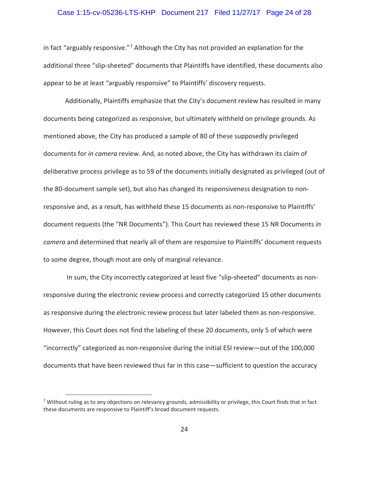## Case 1:15-cv-05236-LTS-KHP Document 217 Filed 11/27/17 Page 24 of 28

in fact "arguably responsive."7 Although the City has not provided an explanation for the additional three "slip-sheeted" documents that Plaintiffs have identified, these documents also appear to be at least "arguably responsive" to Plaintiffs' discovery requests.

Additionally, Plaintiffs emphasize that the City's document review has resulted in many documents being categorized as responsive, but ultimately withheld on privilege grounds. As mentioned above, the City has produced a sample of 80 of these supposedly privileged documents for *in camera* review. And, as noted above, the City has withdrawn its claim of deliberative process privilege as to 59 of the documents initially designated as privileged (out of the 80-document sample set), but also has changed its responsiveness designation to nonresponsive and, as a result, has withheld these 15 documents as non-responsive to Plaintiffs' document requests (the "NR Documents"). This Court has reviewed these 15 NR Documents *in camera* and determined that nearly all of them are responsive to Plaintiffs' document requests to some degree, though most are only of marginal relevance.

 In sum, the City incorrectly categorized at least five "slip-sheeted" documents as nonresponsive during the electronic review process and correctly categorized 15 other documents as responsive during the electronic review process but later labeled them as non-responsive. However, this Court does not find the labeling of these 20 documents, only 5 of which were "incorrectly" categorized as non-responsive during the initial ESI review—out of the 100,000 documents that have been reviewed thus far in this case—sufficient to question the accuracy

**The mannum contocolly as the any objections on relevancy grounds, admissibility or privilege, this Court finds that in fact and provided** these documents are responsive to Plaintiff's broad document requests.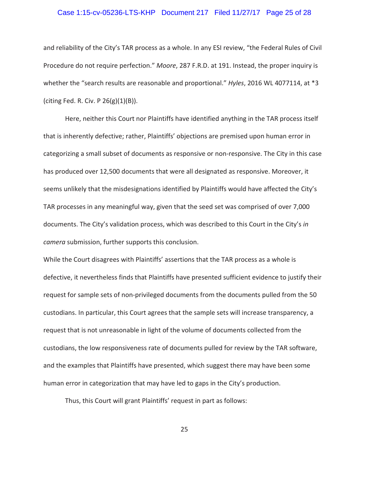### Case 1:15-cv-05236-LTS-KHP Document 217 Filed 11/27/17 Page 25 of 28

and reliability of the City's TAR process as a whole. In any ESI review, "the Federal Rules of Civil Procedure do not require perfection." *Moore*, 287 F.R.D. at 191. Instead, the proper inquiry is whether the "search results are reasonable and proportional." *Hyles*, 2016 WL 4077114, at \*3 (citing Fed. R. Civ. P  $26(g)(1)(B)$ ).

Here, neither this Court nor Plaintiffs have identified anything in the TAR process itself that is inherently defective; rather, Plaintiffs' objections are premised upon human error in categorizing a small subset of documents as responsive or non-responsive. The City in this case has produced over 12,500 documents that were all designated as responsive. Moreover, it seems unlikely that the misdesignations identified by Plaintiffs would have affected the City's TAR processes in any meaningful way, given that the seed set was comprised of over 7,000 documents. The City's validation process, which was described to this Court in the City's *in camera* submission, further supports this conclusion.

While the Court disagrees with Plaintiffs' assertions that the TAR process as a whole is defective, it nevertheless finds that Plaintiffs have presented sufficient evidence to justify their request for sample sets of non-privileged documents from the documents pulled from the 50 custodians. In particular, this Court agrees that the sample sets will increase transparency, a request that is not unreasonable in light of the volume of documents collected from the custodians, the low responsiveness rate of documents pulled for review by the TAR software, and the examples that Plaintiffs have presented, which suggest there may have been some human error in categorization that may have led to gaps in the City's production.

Thus, this Court will grant Plaintiffs' request in part as follows: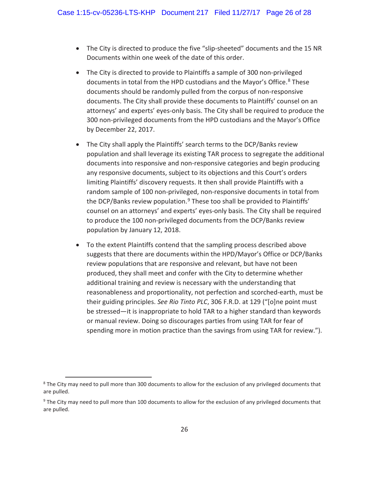- The City is directed to produce the five "slip-sheeted" documents and the 15 NR Documents within one week of the date of this order.
- The City is directed to provide to Plaintiffs a sample of 300 non-privileged documents in total from the HPD custodians and the Mayor's Office.<sup>8</sup> These documents should be randomly pulled from the corpus of non-responsive documents. The City shall provide these documents to Plaintiffs' counsel on an attorneys' and experts' eyes-only basis. The City shall be required to produce the 300 non-privileged documents from the HPD custodians and the Mayor's Office by December 22, 2017.
- The City shall apply the Plaintiffs' search terms to the DCP/Banks review population and shall leverage its existing TAR process to segregate the additional documents into responsive and non-responsive categories and begin producing any responsive documents, subject to its objections and this Court's orders limiting Plaintiffs' discovery requests. It then shall provide Plaintiffs with a random sample of 100 non-privileged, non-responsive documents in total from the DCP/Banks review population.<sup>9</sup> These too shall be provided to Plaintiffs' counsel on an attorneys' and experts' eyes-only basis. The City shall be required to produce the 100 non-privileged documents from the DCP/Banks review population by January 12, 2018.
- To the extent Plaintiffs contend that the sampling process described above suggests that there are documents within the HPD/Mayor's Office or DCP/Banks review populations that are responsive and relevant, but have not been produced, they shall meet and confer with the City to determine whether additional training and review is necessary with the understanding that reasonableness and proportionality, not perfection and scorched-earth, must be their guiding principles. *See Rio Tinto PLC*, 306 F.R.D. at 129 ("[o]ne point must be stressed—it is inappropriate to hold TAR to a higher standard than keywords or manual review. Doing so discourages parties from using TAR for fear of spending more in motion practice than the savings from using TAR for review.").

endormarks The City may need to pull more than 300 documents to allow for the exclusion of any privileged documents that and  $\frac{8}{100}$ are pulled.

<sup>&</sup>lt;sup>9</sup> The City may need to pull more than 100 documents to allow for the exclusion of any privileged documents that are pulled.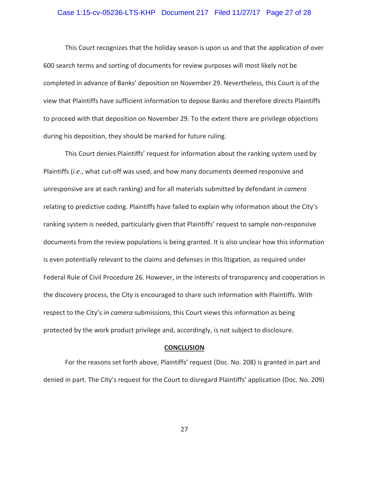### Case 1:15-cv-05236-LTS-KHP Document 217 Filed 11/27/17 Page 27 of 28

This Court recognizes that the holiday season is upon us and that the application of over 600 search terms and sorting of documents for review purposes will most likely not be completed in advance of Banks' deposition on November 29. Nevertheless, this Court is of the view that Plaintiffs have sufficient information to depose Banks and therefore directs Plaintiffs to proceed with that deposition on November 29. To the extent there are privilege objections during his deposition, they should be marked for future ruling.

This Court denies Plaintiffs' request for information about the ranking system used by Plaintiffs (*i.e*., what cut-off was used, and how many documents deemed responsive and unresponsive are at each ranking) and for all materials submitted by defendant *in camera*  relating to predictive coding. Plaintiffs have failed to explain why information about the City's ranking system is needed, particularly given that Plaintiffs' request to sample non-responsive documents from the review populations is being granted. It is also unclear how this information is even potentially relevant to the claims and defenses in this litigation, as required under Federal Rule of Civil Procedure 26. However, in the interests of transparency and cooperation in the discovery process, the City is encouraged to share such information with Plaintiffs. With respect to the City's *in camera* submissions, this Court views this information as being protected by the work product privilege and, accordingly, is not subject to disclosure.

#### **CONCLUSION**

For the reasons set forth above, Plaintiffs' request (Doc. No. 208) is granted in part and denied in part. The City's request for the Court to disregard Plaintiffs' application (Doc. No. 209)